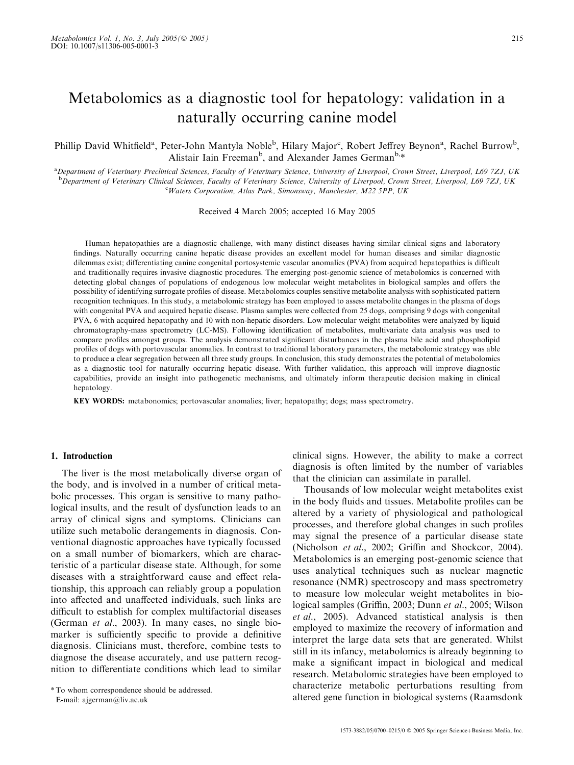# Metabolomics as a diagnostic tool for hepatology: validation in a naturally occurring canine model

Phillip David Whitfield<sup>a</sup>, Peter-John Mantyla Noble<sup>b</sup>, Hilary Major<sup>c</sup>, Robert Jeffrey Beynon<sup>a</sup>, Rachel Burrow<sup>b</sup>, Alistair Iain Freeman<sup>b</sup>, and Alexander James German<sup>b,\*</sup>

a Department of Veterinary Preclinical Sciences, Faculty of Veterinary Science, University of Liverpool, Crown Street, Liverpool, L69 7ZJ, UK **b** Department of Veterinary Clinical Sciences, Faculty of Veterinary Science, University of Liverpool, Crown Street, Liverpool, L69 7ZJ, UK <sup>c</sup>Waters Corporation, Atlas Park, Simonsway, Manchester, M22 5PP, UK

Received 4 March 2005; accepted 16 May 2005

Human hepatopathies are a diagnostic challenge, with many distinct diseases having similar clinical signs and laboratory findings. Naturally occurring canine hepatic disease provides an excellent model for human diseases and similar diagnostic dilemmas exist; differentiating canine congenital portosystemic vascular anomalies (PVA) from acquired hepatopathies is difficult and traditionally requires invasive diagnostic procedures. The emerging post-genomic science of metabolomics is concerned with detecting global changes of populations of endogenous low molecular weight metabolites in biological samples and offers the possibility of identifying surrogate profiles of disease. Metabolomics couples sensitive metabolite analysis with sophisticated pattern recognition techniques. In this study, a metabolomic strategy has been employed to assess metabolite changes in the plasma of dogs with congenital PVA and acquired hepatic disease. Plasma samples were collected from 25 dogs, comprising 9 dogs with congenital PVA, 6 with acquired hepatopathy and 10 with non-hepatic disorders. Low molecular weight metabolites were analyzed by liquid chromatography-mass spectrometry (LC-MS). Following identification of metabolites, multivariate data analysis was used to compare profiles amongst groups. The analysis demonstrated significant disturbances in the plasma bile acid and phospholipid profiles of dogs with portovascular anomalies. In contrast to traditional laboratory parameters, the metabolomic strategy was able to produce a clear segregation between all three study groups. In conclusion, this study demonstrates the potential of metabolomics as a diagnostic tool for naturally occurring hepatic disease. With further validation, this approach will improve diagnostic capabilities, provide an insight into pathogenetic mechanisms, and ultimately inform therapeutic decision making in clinical hepatology.

KEY WORDS: metabonomics; portovascular anomalies; liver; hepatopathy; dogs; mass spectrometry.

#### 1. Introduction

The liver is the most metabolically diverse organ of the body, and is involved in a number of critical metabolic processes. This organ is sensitive to many pathological insults, and the result of dysfunction leads to an array of clinical signs and symptoms. Clinicians can utilize such metabolic derangements in diagnosis. Conventional diagnostic approaches have typically focussed on a small number of biomarkers, which are characteristic of a particular disease state. Although, for some diseases with a straightforward cause and effect relationship, this approach can reliably group a population into affected and unaffected individuals, such links are difficult to establish for complex multifactorial diseases (German et al., 2003). In many cases, no single biomarker is sufficiently specific to provide a definitive diagnosis. Clinicians must, therefore, combine tests to diagnose the disease accurately, and use pattern recognition to differentiate conditions which lead to similar

E-mail: ajgerman@liv.ac.uk

clinical signs. However, the ability to make a correct diagnosis is often limited by the number of variables that the clinician can assimilate in parallel.

Thousands of low molecular weight metabolites exist in the body fluids and tissues. Metabolite profiles can be altered by a variety of physiological and pathological processes, and therefore global changes in such profiles may signal the presence of a particular disease state (Nicholson et al., 2002; Griffin and Shockcor, 2004). Metabolomics is an emerging post-genomic science that uses analytical techniques such as nuclear magnetic resonance (NMR) spectroscopy and mass spectrometry to measure low molecular weight metabolites in biological samples (Griffin, 2003; Dunn et al., 2005; Wilson et al., 2005). Advanced statistical analysis is then employed to maximize the recovery of information and interpret the large data sets that are generated. Whilst still in its infancy, metabolomics is already beginning to make a significant impact in biological and medical research. Metabolomic strategies have been employed to characterize metabolic perturbations resulting from altered gene function in biological systems (Raamsdonk \* To whom correspondence should be addressed.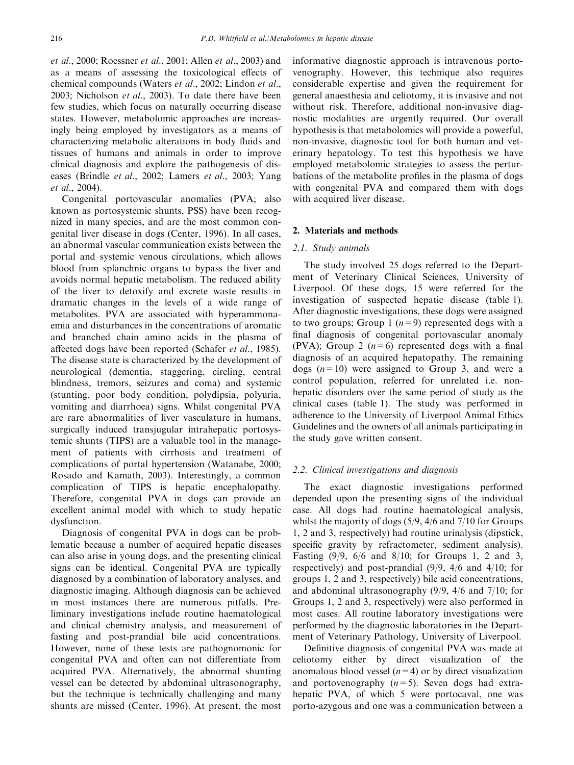et al., 2000; Roessner et al., 2001; Allen et al., 2003) and as a means of assessing the toxicological effects of chemical compounds (Waters et al., 2002; Lindon et al., 2003; Nicholson et al., 2003). To date there have been few studies, which focus on naturally occurring disease states. However, metabolomic approaches are increasingly being employed by investigators as a means of characterizing metabolic alterations in body fluids and tissues of humans and animals in order to improve clinical diagnosis and explore the pathogenesis of diseases (Brindle et al., 2002; Lamers et al., 2003; Yang et al., 2004).

Congenital portovascular anomalies (PVA; also known as portosystemic shunts, PSS) have been recognized in many species, and are the most common congenital liver disease in dogs (Center, 1996). In all cases, an abnormal vascular communication exists between the portal and systemic venous circulations, which allows blood from splanchnic organs to bypass the liver and avoids normal hepatic metabolism. The reduced ability of the liver to detoxify and excrete waste results in dramatic changes in the levels of a wide range of metabolites. PVA are associated with hyperammonaemia and disturbances in the concentrations of aromatic and branched chain amino acids in the plasma of affected dogs have been reported (Schafer et al., 1985). The disease state is characterized by the development of neurological (dementia, staggering, circling, central blindness, tremors, seizures and coma) and systemic (stunting, poor body condition, polydipsia, polyuria, vomiting and diarrhoea) signs. Whilst congenital PVA are rare abnormalities of liver vasculature in humans, surgically induced transjugular intrahepatic portosystemic shunts (TIPS) are a valuable tool in the management of patients with cirrhosis and treatment of complications of portal hypertension (Watanabe, 2000; Rosado and Kamath, 2003). Interestingly, a common complication of TIPS is hepatic encephalopathy. Therefore, congenital PVA in dogs can provide an excellent animal model with which to study hepatic dysfunction.

Diagnosis of congenital PVA in dogs can be problematic because a number of acquired hepatic diseases can also arise in young dogs, and the presenting clinical signs can be identical. Congenital PVA are typically diagnosed by a combination of laboratory analyses, and diagnostic imaging. Although diagnosis can be achieved in most instances there are numerous pitfalls. Preliminary investigations include routine haematological and clinical chemistry analysis, and measurement of fasting and post-prandial bile acid concentrations. However, none of these tests are pathognomonic for congenital PVA and often can not differentiate from acquired PVA. Alternatively, the abnormal shunting vessel can be detected by abdominal ultrasonography, but the technique is technically challenging and many shunts are missed (Center, 1996). At present, the most

informative diagnostic approach is intravenous portovenography. However, this technique also requires considerable expertise and given the requirement for general anaesthesia and celiotomy, it is invasive and not without risk. Therefore, additional non-invasive diagnostic modalities are urgently required. Our overall hypothesis is that metabolomics will provide a powerful, non-invasive, diagnostic tool for both human and veterinary hepatology. To test this hypothesis we have employed metabolomic strategies to assess the perturbations of the metabolite profiles in the plasma of dogs with congenital PVA and compared them with dogs with acquired liver disease.

## 2. Materials and methods

#### 2.1. Study animals

The study involved 25 dogs referred to the Department of Veterinary Clinical Sciences, University of Liverpool. Of these dogs, 15 were referred for the investigation of suspected hepatic disease (table 1). After diagnostic investigations, these dogs were assigned to two groups; Group 1 ( $n=9$ ) represented dogs with a final diagnosis of congenital portovascular anomaly (PVA); Group 2  $(n=6)$  represented dogs with a final diagnosis of an acquired hepatopathy. The remaining dogs  $(n=10)$  were assigned to Group 3, and were a control population, referred for unrelated i.e. nonhepatic disorders over the same period of study as the clinical cases (table 1). The study was performed in adherence to the University of Liverpool Animal Ethics Guidelines and the owners of all animals participating in the study gave written consent.

## 2.2. Clinical investigations and diagnosis

The exact diagnostic investigations performed depended upon the presenting signs of the individual case. All dogs had routine haematological analysis, whilst the majority of dogs (5/9, 4/6 and 7/10 for Groups 1, 2 and 3, respectively) had routine urinalysis (dipstick, specific gravity by refractometer, sediment analysis). Fasting (9/9, 6/6 and 8/10; for Groups 1, 2 and 3, respectively) and post-prandial (9/9, 4/6 and 4/10; for groups 1, 2 and 3, respectively) bile acid concentrations, and abdominal ultrasonography (9/9, 4/6 and 7/10; for Groups 1, 2 and 3, respectively) were also performed in most cases. All routine laboratory investigations were performed by the diagnostic laboratories in the Department of Veterinary Pathology, University of Liverpool.

Definitive diagnosis of congenital PVA was made at celiotomy either by direct visualization of the anomalous blood vessel  $(n=4)$  or by direct visualization and portovenography  $(n=5)$ . Seven dogs had extrahepatic PVA, of which 5 were portocaval, one was porto-azygous and one was a communication between a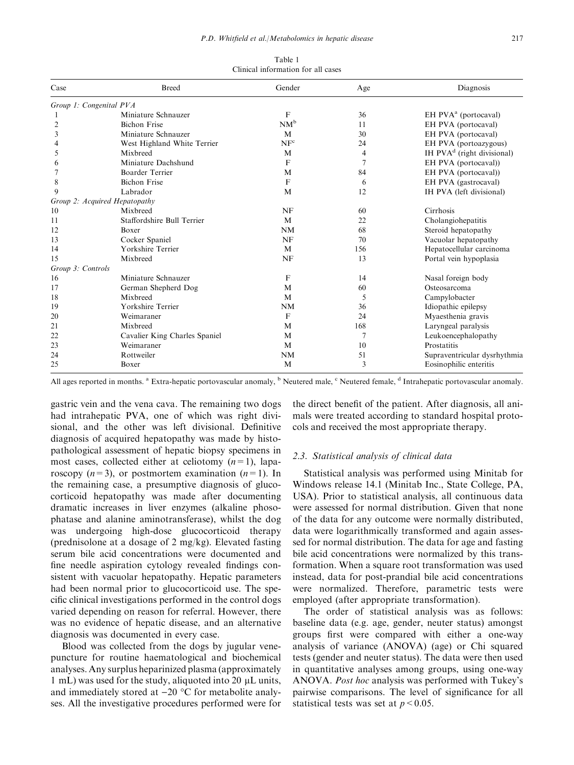| Case              | <b>Breed</b>                  | Gender          | Age | Diagnosis                    |  |
|-------------------|-------------------------------|-----------------|-----|------------------------------|--|
|                   | Group 1: Congenital PVA       |                 |     |                              |  |
|                   | Miniature Schnauzer           | F               | 36  | EH $PVAa$ (portocaval)       |  |
| $\overline{c}$    | <b>Bichon Frise</b>           | $NM^b$          | 11  | EH PVA (portocaval)          |  |
| 3                 | Miniature Schnauzer           | M               | 30  | EH PVA (portocaval)          |  |
| 4                 | West Highland White Terrier   | NF <sup>c</sup> | 24  | EH PVA (portoazygous)        |  |
| 5                 | Mixbreed                      | M               | 4   | IH $PVAd$ (right divisional) |  |
| 6                 | Miniature Dachshund           | $\mathbf{F}$    |     | EH PVA (portocaval))         |  |
|                   | <b>Boarder Terrier</b>        | M               | 84  | EH PVA (portocaval))         |  |
| 8                 | <b>Bichon Frise</b>           | F               | 6   | EH PVA (gastrocaval)         |  |
| 9                 | Labrador                      | M               | 12  | IH PVA (left divisional)     |  |
|                   | Group 2: Acquired Hepatopathy |                 |     |                              |  |
| 10                | Mixbreed                      | NF              | 60  | Cirrhosis                    |  |
| 11                | Staffordshire Bull Terrier    | M               | 22  | Cholangiohepatitis           |  |
| 12                | Boxer                         | NM              | 68  | Steroid hepatopathy          |  |
| 13                | Cocker Spaniel                | <b>NF</b>       | 70  | Vacuolar hepatopathy         |  |
| 14                | <b>Yorkshire Terrier</b>      | M               | 156 | Hepatocellular carcinoma     |  |
| 15                | Mixbreed                      | NF              | 13  | Portal vein hypoplasia       |  |
| Group 3: Controls |                               |                 |     |                              |  |
| 16                | Miniature Schnauzer           | F               | 14  | Nasal foreign body           |  |
| 17                | German Shepherd Dog           | M               | 60  | Osteosarcoma                 |  |
| 18                | Mixbreed                      | M               | 5   | Campylobacter                |  |
| 19                | Yorkshire Terrier             | NM              | 36  | Idiopathic epilepsy          |  |
| 20                | Weimaraner                    | F               | 24  | Myaesthenia gravis           |  |
| 21                | Mixbreed                      | M               | 168 | Laryngeal paralysis          |  |
| 22                | Cavalier King Charles Spaniel | M               |     | Leukoencephalopathy          |  |
| 23                | Weimaraner                    | M               | 10  | Prostatitis                  |  |
| 24                | Rottweiler                    | NM              | 51  | Supraventricular dysrhythmia |  |
| 25                | Boxer                         | M               | 3   | Eosinophilic enteritis       |  |

All ages reported in months. <sup>a</sup> Extra-hepatic portovascular anomaly, <sup>b</sup> Neutered male, <sup>c</sup> Neutered female, <sup>d</sup> Intrahepatic portovascular anomaly.

gastric vein and the vena cava. The remaining two dogs had intrahepatic PVA, one of which was right divisional, and the other was left divisional. Definitive diagnosis of acquired hepatopathy was made by histopathological assessment of hepatic biopsy specimens in most cases, collected either at celiotomy  $(n=1)$ , laparoscopy  $(n=3)$ , or postmortem examination  $(n=1)$ . In the remaining case, a presumptive diagnosis of glucocorticoid hepatopathy was made after documenting dramatic increases in liver enzymes (alkaline phosophatase and alanine aminotransferase), whilst the dog was undergoing high-dose glucocorticoid therapy (prednisolone at a dosage of 2 mg/kg). Elevated fasting serum bile acid concentrations were documented and fine needle aspiration cytology revealed findings consistent with vacuolar hepatopathy. Hepatic parameters had been normal prior to glucocorticoid use. The specific clinical investigations performed in the control dogs varied depending on reason for referral. However, there was no evidence of hepatic disease, and an alternative diagnosis was documented in every case.

Blood was collected from the dogs by jugular venepuncture for routine haematological and biochemical analyses. Any surplus heparinized plasma (approximately 1 mL) was used for the study, aliquoted into 20  $\mu$ L units, and immediately stored at  $-20$  °C for metabolite analyses. All the investigative procedures performed were for

the direct benefit of the patient. After diagnosis, all animals were treated according to standard hospital protocols and received the most appropriate therapy.

#### 2.3. Statistical analysis of clinical data

Statistical analysis was performed using Minitab for Windows release 14.1 (Minitab Inc., State College, PA, USA). Prior to statistical analysis, all continuous data were assessed for normal distribution. Given that none of the data for any outcome were normally distributed, data were logarithmically transformed and again assessed for normal distribution. The data for age and fasting bile acid concentrations were normalized by this transformation. When a square root transformation was used instead, data for post-prandial bile acid concentrations were normalized. Therefore, parametric tests were employed (after appropriate transformation).

The order of statistical analysis was as follows: baseline data (e.g. age, gender, neuter status) amongst groups first were compared with either a one-way analysis of variance (ANOVA) (age) or Chi squared tests (gender and neuter status). The data were then used in quantitative analyses among groups, using one-way ANOVA. Post hoc analysis was performed with Tukey's pairwise comparisons. The level of significance for all statistical tests was set at  $p < 0.05$ .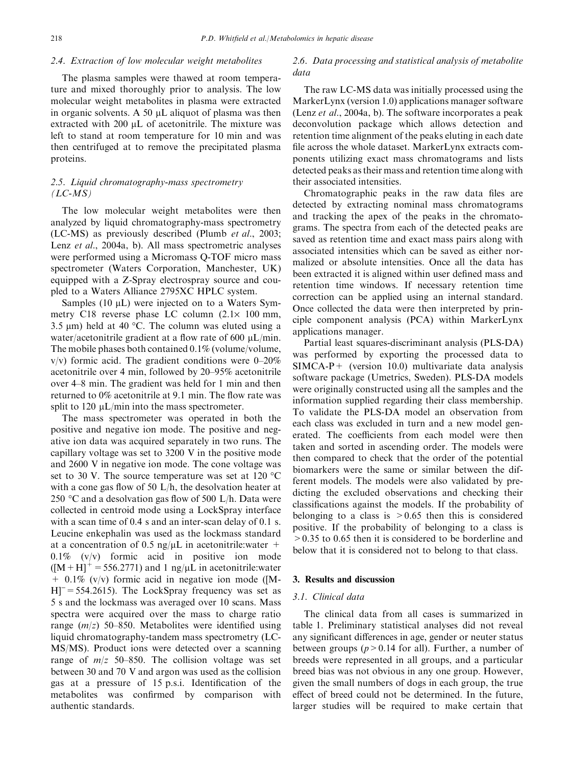### 2.4. Extraction of low molecular weight metabolites

The plasma samples were thawed at room temperature and mixed thoroughly prior to analysis. The low molecular weight metabolites in plasma were extracted in organic solvents. A 50  $\mu$ L aliquot of plasma was then extracted with  $200 \mu L$  of acetonitrile. The mixture was left to stand at room temperature for 10 min and was then centrifuged at to remove the precipitated plasma proteins.

# 2.5. Liquid chromatography-mass spectrometry  $(LC-MS)$

The low molecular weight metabolites were then analyzed by liquid chromatography-mass spectrometry (LC-MS) as previously described (Plumb et al., 2003; Lenz et al., 2004a, b). All mass spectrometric analyses were performed using a Micromass Q-TOF micro mass spectrometer (Waters Corporation, Manchester, UK) equipped with a Z-Spray electrospray source and coupled to a Waters Alliance 2795XC HPLC system.

Samples (10  $\mu$ L) were injected on to a Waters Symmetry C18 reverse phase LC column  $(2.1 \times 100 \text{ mm})$ , 3.5  $\mu$ m) held at 40 °C. The column was eluted using a water/acetonitrile gradient at a flow rate of 600  $\mu$ L/min. The mobile phases both contained 0.1% (volume/volume,  $v/v$ ) formic acid. The gradient conditions were 0–20% acetonitrile over 4 min, followed by 20–95% acetonitrile over 4–8 min. The gradient was held for 1 min and then returned to 0% acetonitrile at 9.1 min. The flow rate was split to 120  $\mu$ L/min into the mass spectrometer.

The mass spectrometer was operated in both the positive and negative ion mode. The positive and negative ion data was acquired separately in two runs. The capillary voltage was set to 3200 V in the positive mode and 2600 V in negative ion mode. The cone voltage was set to 30 V. The source temperature was set at 120  $^{\circ}$ C with a cone gas flow of 50 L/h, the desolvation heater at 250 °C and a desolvation gas flow of 500 L/h. Data were collected in centroid mode using a LockSpray interface with a scan time of 0.4 s and an inter-scan delay of 0.1 s. Leucine enkephalin was used as the lockmass standard at a concentration of 0.5 ng/ $\mu$ L in acetonitrile:water +  $0.1\%$  (v/v) formic acid in positive ion mode  $([M+H]^+ = 556.2771)$  and 1 ng/ $\mu$ L in acetonitrile:water  $+$  0.1% (v/v) formic acid in negative ion mode ([M- $[H]$ <sup> $=$ </sup> = 554.2615). The LockSpray frequency was set as 5 s and the lockmass was averaged over 10 scans. Mass spectra were acquired over the mass to charge ratio range  $(m/z)$  50–850. Metabolites were identified using liquid chromatography-tandem mass spectrometry (LC-MS/MS). Product ions were detected over a scanning range of  $m/z$  50–850. The collision voltage was set between 30 and 70 V and argon was used as the collision gas at a pressure of 15 p.s.i. Identification of the metabolites was confirmed by comparison with authentic standards.

# 2.6. Data processing and statistical analysis of metabolite data

The raw LC-MS data was initially processed using the MarkerLynx (version 1.0) applications manager software (Lenz et al., 2004a, b). The software incorporates a peak deconvolution package which allows detection and retention time alignment of the peaks eluting in each date file across the whole dataset. MarkerLynx extracts components utilizing exact mass chromatograms and lists detected peaks as their mass and retention time along with their associated intensities.

Chromatographic peaks in the raw data files are detected by extracting nominal mass chromatograms and tracking the apex of the peaks in the chromatograms. The spectra from each of the detected peaks are saved as retention time and exact mass pairs along with associated intensities which can be saved as either normalized or absolute intensities. Once all the data has been extracted it is aligned within user defined mass and retention time windows. If necessary retention time correction can be applied using an internal standard. Once collected the data were then interpreted by principle component analysis (PCA) within MarkerLynx applications manager.

Partial least squares-discriminant analysis (PLS-DA) was performed by exporting the processed data to SIMCA-P+ (version 10.0) multivariate data analysis software package (Umetrics, Sweden). PLS-DA models were originally constructed using all the samples and the information supplied regarding their class membership. To validate the PLS-DA model an observation from each class was excluded in turn and a new model generated. The coefficients from each model were then taken and sorted in ascending order. The models were then compared to check that the order of the potential biomarkers were the same or similar between the different models. The models were also validated by predicting the excluded observations and checking their classifications against the models. If the probability of belonging to a class is  $>0.65$  then this is considered positive. If the probability of belonging to a class is >0.35 to 0.65 then it is considered to be borderline and below that it is considered not to belong to that class.

## 3. Results and discussion

# 3.1. Clinical data

The clinical data from all cases is summarized in table 1. Preliminary statistical analyses did not reveal any significant differences in age, gender or neuter status between groups ( $p > 0.14$  for all). Further, a number of breeds were represented in all groups, and a particular breed bias was not obvious in any one group. However, given the small numbers of dogs in each group, the true effect of breed could not be determined. In the future, larger studies will be required to make certain that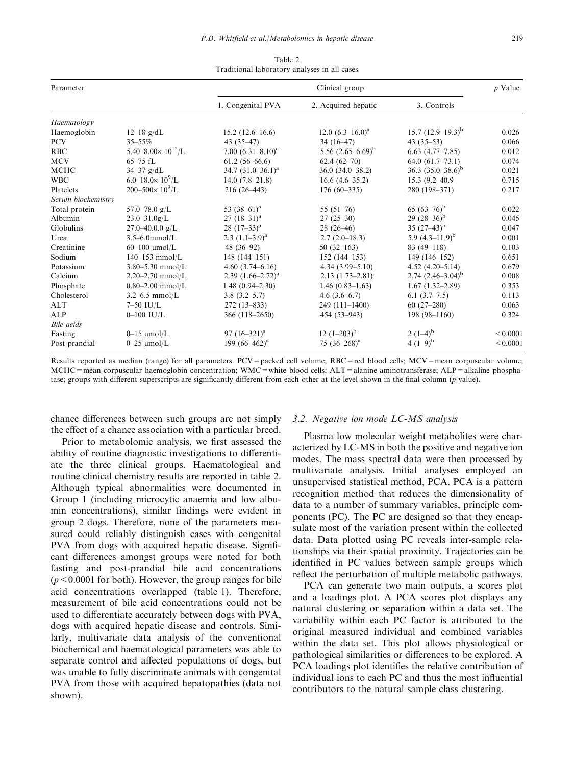| Parameter          |                                        | Clinical group           |                      |                        | $p$ Value     |
|--------------------|----------------------------------------|--------------------------|----------------------|------------------------|---------------|
|                    |                                        | 1. Congenital PVA        | 2. Acquired hepatic  | 3. Controls            |               |
| Haematology        |                                        |                          |                      |                        |               |
| Haemoglobin        | $12-18$ g/dL                           | $15.2(12.6-16.6)$        | 12.0 $(6.3-16.0)^a$  | 15.7 $(12.9-19.3)^{b}$ | 0.026         |
| <b>PCV</b>         | $35 - 55%$                             | $43(35-47)$              | $34(16-47)$          | $43(35-53)$            | 0.066         |
| <b>RBC</b>         | 5.40–8.00 $\times$ 10 <sup>12</sup> /L | 7.00 $(6.31 - 8.10)^a$   | 5.56 $(2.65-6.69)^b$ | $6.63(4.77-7.85)$      | 0.012         |
| <b>MCV</b>         | $65 - 75$ fL                           | $61.2(56-66.6)$          | $62.4(62-70)$        | $64.0(61.7-73.1)$      | 0.074         |
| <b>MCHC</b>        | 34-37 $g/dL$                           | 34.7 $(31.0-36.1)^a$     | $36.0 (34.0 - 38.2)$ | 36.3 $(35.0-38.6)^b$   | 0.021         |
| <b>WBC</b>         | 6.0–18.0 $\times$ 10 <sup>9</sup> /L   | $14.0(7.8-21.8)$         | $16.6(4.6-35.2)$     | $15.3(9.2 - 40.9)$     | 0.715         |
| Platelets          | $200 - 500 \times 10^9$ /L             | $216(26-443)$            | $176(60-335)$        | 280 (198-371)          | 0.217         |
| Serum biochemistry |                                        |                          |                      |                        |               |
| Total protein      | 57.0-78.0 $g/L$                        | 53 $(38-61)^a$           | 55 $(51-76)$         | 65 $(63-76)^b$         | 0.022         |
| Albumin            | $23.0 - 31.0$ g/L                      | 27 $(18-31)^a$           | $27(25-30)$          | 29 $(28-36)^b$         | 0.045         |
| Globulins          | $27.0 - 40.0.0$ g/L                    | $28 (17-33)^a$           | $28(26-46)$          | 35 $(27-43)^{b}$       | 0.047         |
| Urea               | $3.5 - 6.0$ mmol/L                     | 2.3 $(1.1-3.9)^a$        | $2.7(2.0-18.3)$      | 5.9 $(4.3-11.9)^{b}$   | 0.001         |
| Creatinine         | $60-100$ $\mu$ mol/L                   | 48 $(36-92)$             | $50(32-163)$         | $83(49-118)$           | 0.103         |
| Sodium             | $140 - 153$ mmol/L                     | 148 (144-151)            | $152(144-153)$       | $149(146-152)$         | 0.651         |
| Potassium          | 3.80-5.30 mmol/L                       | $4.60(3.74 - 6.16)$      | $4.34(3.99 - 5.10)$  | $4.52(4.20 - 5.14)$    | 0.679         |
| Calcium            | $2.20 - 2.70$ mmol/L                   | $2.39$ $(1.66-2.72)^{a}$ | 2.13 $(1.73-2.81)^a$ | 2.74 $(2.46-3.04)^b$   | 0.008         |
| Phosphate          | $0.80 - 2.00$ mmol/L                   | $1.48(0.94 - 2.30)$      | $1.46(0.83 - 1.63)$  | $1.67(1.32 - 2.89)$    | 0.353         |
| Cholesterol        | $3.2 - 6.5$ mmol/L                     | $3.8(3.2 - 5.7)$         | 4.6 $(3.6-6.7)$      | 6.1 $(3.7-7.5)$        | 0.113         |
| <b>ALT</b>         | $7-50$ IU/L                            | $272(13-833)$            | $249(111 - 1400)$    | $60(27-280)$           | 0.063         |
| ALP                | $0 - 100$ IU/L                         | $366(118-2650)$          | $454(53 - 943)$      | $198(98-1160)$         | 0.324         |
| Bile acids         |                                        |                          |                      |                        |               |
| Fasting            | $0-15$ umol/L                          | 97 $(16-321)^a$          | 12 $(1-203)^{b}$     | 2 $(1-4)^{b}$          | ${}_{0.0001}$ |
| Post-prandial      | $0-25$ umol/L                          | 199 $(66-462)^a$         | 75 $(36-268)^a$      | $4(1-9)^{b}$           | ${}_{0.0001}$ |

Table 2 Traditional laboratory analyses in all cases

Results reported as median (range) for all parameters. PCV=packed cell volume; RBC=red blood cells; MCV=mean corpuscular volume;  $MCHC$ =mean corpuscular haemoglobin concentration;  $WMC$  = white blood cells;  $ALT$  = alanine aminotransferase;  $ALP$  = alkaline phosphatase; groups with different superscripts are significantly different from each other at the level shown in the final column (p-value).

chance differences between such groups are not simply the effect of a chance association with a particular breed.

Prior to metabolomic analysis, we first assessed the ability of routine diagnostic investigations to differentiate the three clinical groups. Haematological and routine clinical chemistry results are reported in table 2. Although typical abnormalities were documented in Group 1 (including microcytic anaemia and low albumin concentrations), similar findings were evident in group 2 dogs. Therefore, none of the parameters measured could reliably distinguish cases with congenital PVA from dogs with acquired hepatic disease. Significant differences amongst groups were noted for both fasting and post-prandial bile acid concentrations  $(p<0.0001$  for both). However, the group ranges for bile acid concentrations overlapped (table 1). Therefore, measurement of bile acid concentrations could not be used to differentiate accurately between dogs with PVA, dogs with acquired hepatic disease and controls. Similarly, multivariate data analysis of the conventional biochemical and haematological parameters was able to separate control and affected populations of dogs, but was unable to fully discriminate animals with congenital PVA from those with acquired hepatopathies (data not shown).

#### 3.2. Negative ion mode LC-MS analysis

Plasma low molecular weight metabolites were characterized by LC-MS in both the positive and negative ion modes. The mass spectral data were then processed by multivariate analysis. Initial analyses employed an unsupervised statistical method, PCA. PCA is a pattern recognition method that reduces the dimensionality of data to a number of summary variables, principle components (PC). The PC are designed so that they encapsulate most of the variation present within the collected data. Data plotted using PC reveals inter-sample relationships via their spatial proximity. Trajectories can be identified in PC values between sample groups which reflect the perturbation of multiple metabolic pathways.

PCA can generate two main outputs, a scores plot and a loadings plot. A PCA scores plot displays any natural clustering or separation within a data set. The variability within each PC factor is attributed to the original measured individual and combined variables within the data set. This plot allows physiological or pathological similarities or differences to be explored. A PCA loadings plot identifies the relative contribution of individual ions to each PC and thus the most influential contributors to the natural sample class clustering.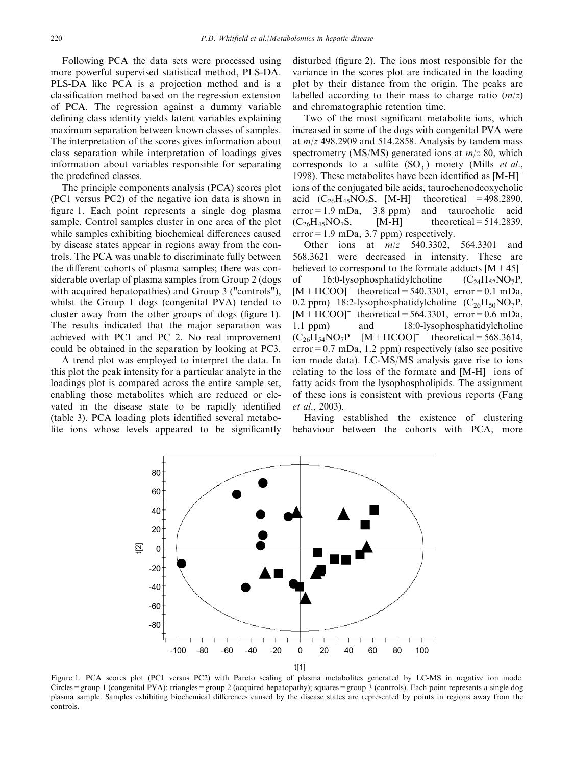Following PCA the data sets were processed using more powerful supervised statistical method, PLS-DA. PLS-DA like PCA is a projection method and is a classification method based on the regression extension of PCA. The regression against a dummy variable defining class identity yields latent variables explaining maximum separation between known classes of samples. The interpretation of the scores gives information about class separation while interpretation of loadings gives information about variables responsible for separating the predefined classes.

The principle components analysis (PCA) scores plot (PC1 versus PC2) of the negative ion data is shown in figure 1. Each point represents a single dog plasma sample. Control samples cluster in one area of the plot while samples exhibiting biochemical differences caused by disease states appear in regions away from the controls. The PCA was unable to discriminate fully between the different cohorts of plasma samples; there was considerable overlap of plasma samples from Group 2 (dogs with acquired hepatopathies) and Group 3 ("controls"), whilst the Group 1 dogs (congenital PVA) tended to cluster away from the other groups of dogs (figure 1). The results indicated that the major separation was achieved with PC1 and PC 2. No real improvement could be obtained in the separation by looking at PC3.

A trend plot was employed to interpret the data. In this plot the peak intensity for a particular analyte in the loadings plot is compared across the entire sample set, enabling those metabolites which are reduced or elevated in the disease state to be rapidly identified (table 3). PCA loading plots identified several metabolite ions whose levels appeared to be significantly disturbed (figure 2). The ions most responsible for the variance in the scores plot are indicated in the loading plot by their distance from the origin. The peaks are labelled according to their mass to charge ratio  $(m/z)$ and chromatographic retention time.

Two of the most significant metabolite ions, which increased in some of the dogs with congenital PVA were at  $m/z$  498.2909 and 514.2858. Analysis by tandem mass spectrometry (MS/MS) generated ions at  $m/z$  80, which corresponds to a sulfite  $(SO_3^-)$  moiety (Mills *et al.*, 1998). These metabolites have been identified as [M-H]) ions of the conjugated bile acids, taurochenodeoxycholic acid  $(C_{26}H_{45}NO_6S, [M-H]$ <sup>-</sup> theoretical =498.2890,  $error=1.9$  mDa, 3.8 ppm) and taurocholic acid  $(C_{26}H_{45}NO_7S,$  [M-H]<sup>-</sup> theoretical=514.2839,  $error=1.9$  mDa, 3.7 ppm) respectively.

Other ions at  $m/z$  540.3302, 564.3301 and 568.3621 were decreased in intensity. These are believed to correspond to the formate adducts  $[M+45]$ <sup>-</sup> of 16:0-lysophosphatidylcholine  $(C_{24}H_{52}NO_7P)$ ,  $[M+HCOO]$ <sup>-</sup> theoretical = 540.3301, error = 0.1 mDa, 0.2 ppm) 18:2-lysophosphatidylcholine  $(C_{26}H_{50}NO_7P)$ ,  $[M+HCOO]$ <sup>-</sup> theoretical = 564.3301, error = 0.6 mDa, 1.1 ppm) and 18:0-lysophosphatidylcholine  $(C_{26}H_{54}NO_7P$   $[M+HCOO]^-$  theoretical = 568.3614,  $error=0.7$  mDa, 1.2 ppm) respectively (also see positive ion mode data). LC-MS/MS analysis gave rise to ions relating to the loss of the formate and  $[M-H]$ <sup>-</sup> ions of fatty acids from the lysophospholipids. The assignment of these ions is consistent with previous reports (Fang et al., 2003).

Having established the existence of clustering behaviour between the cohorts with PCA, more



Figure 1. PCA scores plot (PC1 versus PC2) with Pareto scaling of plasma metabolites generated by LC-MS in negative ion mode. Circles = group 1 (congenital PVA); triangles = group 2 (acquired hepatopathy); squares = group 3 (controls). Each point represents a single dog plasma sample. Samples exhibiting biochemical differences caused by the disease states are represented by points in regions away from the controls.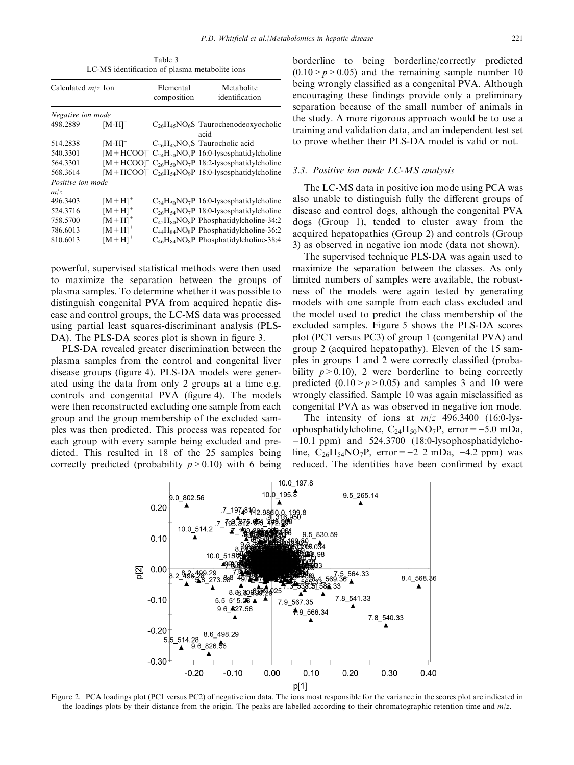Table 3 LC-MS identification of plasma metabolite ions

| Calculated $m/z$ Ion |                      | Elemental<br>composition | Metabolite<br>identification                                                                          |
|----------------------|----------------------|--------------------------|-------------------------------------------------------------------------------------------------------|
| Negative ion mode    |                      |                          |                                                                                                       |
| 498.2889             | $[M-H]^-$            |                          | $C_{26}H_{45}NO_6S$ Taurochenodeoxyocholic                                                            |
|                      |                      |                          | acid                                                                                                  |
| 514.2838             | $[M-H]^-$            |                          | $C_{26}H_{45}NO_{7}S$ Taurocholic acid                                                                |
| 540.3301             |                      |                          | $[M + HCOO]$ <sup>-</sup> C <sub>24</sub> H <sub>50</sub> NO <sub>7</sub> P 16:0-lysosphatidylcholine |
| 564.3301             |                      |                          | $[M + HCOO]$ <sup>-</sup> C <sub>26</sub> H <sub>50</sub> NO <sub>7</sub> P 18:2-lysosphatidylcholine |
| 568.3614             |                      |                          | $[M + HCOO]$ <sup>-</sup> C <sub>26</sub> H <sub>54</sub> NO <sub>9</sub> P 18:0-lysosphatidylcholine |
| Positive ion mode    |                      |                          |                                                                                                       |
| m/z                  |                      |                          |                                                                                                       |
| 496.3403             | $[M+H]$ <sup>+</sup> |                          | $C_{24}H_{50}NO_7P$ 16:0-lysosphatidylcholine                                                         |
| 524.3716             | $[M+H]$ <sup>+</sup> |                          | $C_{26}H_{54}NO_7P$ 18:0-lysosphatidylcholine                                                         |
| 758.5700             | $[M+H]$ <sup>+</sup> |                          | $C_{42}H_{80}NO_8P$ Phosphatidylcholine-34:2                                                          |
| 786.6013             | $[M+H]$ <sup>+</sup> |                          | $C_{44}H_{84}NO_8P$ Phosphatidylcholine-36:2                                                          |
| 810.6013             | $[M+H]^{+}$          |                          | $C_{46}H_{84}NO_8P$ Phosphatidylcholine-38:4                                                          |

powerful, supervised statistical methods were then used to maximize the separation between the groups of plasma samples. To determine whether it was possible to distinguish congenital PVA from acquired hepatic disease and control groups, the LC-MS data was processed using partial least squares-discriminant analysis (PLS-DA). The PLS-DA scores plot is shown in figure 3.

PLS-DA revealed greater discrimination between the plasma samples from the control and congenital liver disease groups (figure 4). PLS-DA models were generated using the data from only 2 groups at a time e.g. controls and congenital PVA (figure 4). The models were then reconstructed excluding one sample from each group and the group membership of the excluded samples was then predicted. This process was repeated for each group with every sample being excluded and predicted. This resulted in 18 of the 25 samples being correctly predicted (probability  $p > 0.10$ ) with 6 being borderline to being borderline/correctly predicted  $(0.10 > p > 0.05)$  and the remaining sample number 10 being wrongly classified as a congenital PVA. Although encouraging these findings provide only a preliminary separation because of the small number of animals in the study. A more rigorous approach would be to use a training and validation data, and an independent test set to prove whether their PLS-DA model is valid or not.

#### 3.3. Positive ion mode LC-MS analysis

The LC-MS data in positive ion mode using PCA was also unable to distinguish fully the different groups of disease and control dogs, although the congenital PVA dogs (Group 1), tended to cluster away from the acquired hepatopathies (Group 2) and controls (Group 3) as observed in negative ion mode (data not shown).

The supervised technique PLS-DA was again used to maximize the separation between the classes. As only limited numbers of samples were available, the robustness of the models were again tested by generating models with one sample from each class excluded and the model used to predict the class membership of the excluded samples. Figure 5 shows the PLS-DA scores plot (PC1 versus PC3) of group 1 (congenital PVA) and group 2 (acquired hepatopathy). Eleven of the 15 samples in groups 1 and 2 were correctly classified (probability  $p > 0.10$ , 2 were borderline to being correctly predicted  $(0.10 > p > 0.05)$  and samples 3 and 10 were wrongly classified. Sample 10 was again misclassified as congenital PVA as was observed in negative ion mode.

The intensity of ions at  $m/z$  496.3400 (16:0-lysophosphatidylcholine,  $C_{24}H_{50}NO_7P$ , error = -5.0 mDa,  $-10.1$  ppm) and  $524.3700$  (18:0-lysophosphatidylcholine,  $C_{26}H_{54}NO_7P$ , error = -2-2 mDa, -4.2 ppm) was reduced. The identities have been confirmed by exact



Figure 2. PCA loadings plot (PC1 versus PC2) of negative ion data. The ions most responsible for the variance in the scores plot are indicated in the loadings plots by their distance from the origin. The peaks are labelled according to their chromatographic retention time and  $m/z$ .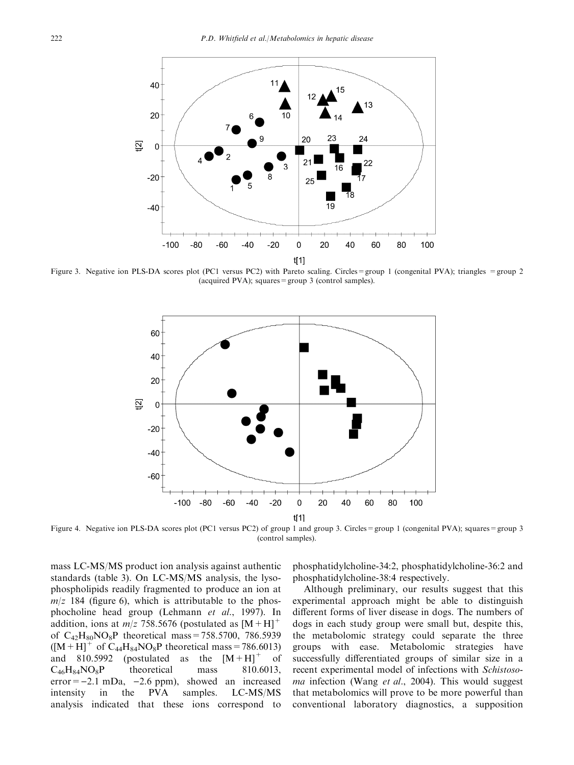

Figure 3. Negative ion PLS-DA scores plot (PC1 versus PC2) with Pareto scaling. Circles=group 1 (congenital PVA); triangles =group 2 (acquired PVA); squares = group 3 (control samples).



Figure 4. Negative ion PLS-DA scores plot (PC1 versus PC2) of group 1 and group 3. Circles = group 1 (congenital PVA); squares = group 3 (control samples).

mass LC-MS/MS product ion analysis against authentic standards (table 3). On LC-MS/MS analysis, the lysophospholipids readily fragmented to produce an ion at  $m/z$  184 (figure 6), which is attributable to the phosphocholine head group (Lehmann et al., 1997). In addition, ions at  $m/z$  758.5676 (postulated as  $[M+H]$ <sup>+</sup> of  $C_{42}H_{80}NO_8P$  theoretical mass=758.5700, 786.5939  $([M+H]^+$  of  $C_{44}H_{84}NO_8P$  theoretical mass = 786.6013) and 810.5992 (postulated as the  $[M+H]$ <sup>+</sup> of  $C_{46}H_{84}NO_8P$  theoretical mass 810.6013,  $error = -2.1$  mDa,  $-2.6$  ppm), showed an increased intensity in the PVA samples. LC-MS/MS analysis indicated that these ions correspond to

phosphatidylcholine-34:2, phosphatidylcholine-36:2 and phosphatidylcholine-38:4 respectively.

Although preliminary, our results suggest that this experimental approach might be able to distinguish different forms of liver disease in dogs. The numbers of dogs in each study group were small but, despite this, the metabolomic strategy could separate the three groups with ease. Metabolomic strategies have successfully differentiated groups of similar size in a recent experimental model of infections with Schistosoma infection (Wang et al., 2004). This would suggest that metabolomics will prove to be more powerful than conventional laboratory diagnostics, a supposition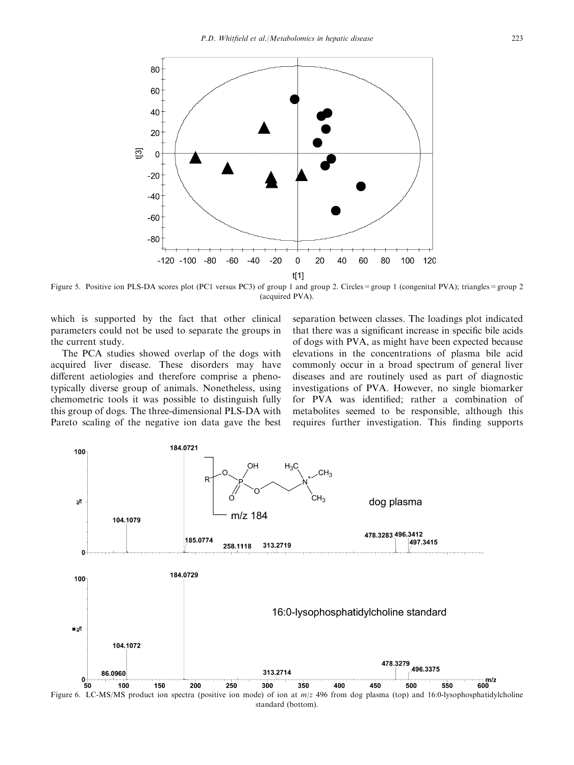

Figure 5. Positive ion PLS-DA scores plot (PC1 versus PC3) of group 1 and group 2. Circles=group 1 (congenital PVA); triangles=group 2 (acquired PVA).

which is supported by the fact that other clinical parameters could not be used to separate the groups in the current study.

The PCA studies showed overlap of the dogs with acquired liver disease. These disorders may have different aetiologies and therefore comprise a phenotypically diverse group of animals. Nonetheless, using chemometric tools it was possible to distinguish fully this group of dogs. The three-dimensional PLS-DA with Pareto scaling of the negative ion data gave the best

separation between classes. The loadings plot indicated that there was a significant increase in specific bile acids of dogs with PVA, as might have been expected because elevations in the concentrations of plasma bile acid commonly occur in a broad spectrum of general liver diseases and are routinely used as part of diagnostic investigations of PVA. However, no single biomarker for PVA was identified; rather a combination of metabolites seemed to be responsible, although this requires further investigation. This finding supports



Figure 6. LC-MS/MS product ion spectra (positive ion mode) of ion at  $m/z$  496 from dog plasma (top) and 16:0-lysophosphatidylcholine standard (bottom).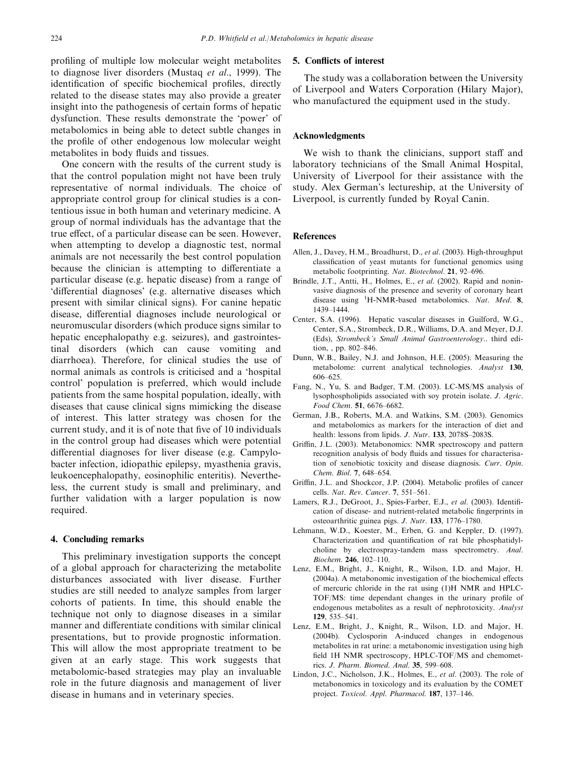profiling of multiple low molecular weight metabolites to diagnose liver disorders (Mustaq et al., 1999). The identification of specific biochemical profiles, directly related to the disease states may also provide a greater insight into the pathogenesis of certain forms of hepatic dysfunction. These results demonstrate the 'power' of metabolomics in being able to detect subtle changes in the profile of other endogenous low molecular weight metabolites in body fluids and tissues.

One concern with the results of the current study is that the control population might not have been truly representative of normal individuals. The choice of appropriate control group for clinical studies is a contentious issue in both human and veterinary medicine. A group of normal individuals has the advantage that the true effect, of a particular disease can be seen. However, when attempting to develop a diagnostic test, normal animals are not necessarily the best control population because the clinician is attempting to differentiate a particular disease (e.g. hepatic disease) from a range of 'differential diagnoses' (e.g. alternative diseases which present with similar clinical signs). For canine hepatic disease, differential diagnoses include neurological or neuromuscular disorders (which produce signs similar to hepatic encephalopathy e.g. seizures), and gastrointestinal disorders (which can cause vomiting and diarrhoea). Therefore, for clinical studies the use of normal animals as controls is criticised and a 'hospital control' population is preferred, which would include patients from the same hospital population, ideally, with diseases that cause clinical signs mimicking the disease of interest. This latter strategy was chosen for the current study, and it is of note that five of 10 individuals in the control group had diseases which were potential differential diagnoses for liver disease (e.g. Campylobacter infection, idiopathic epilepsy, myasthenia gravis, leukoencephalopathy, eosinophilic enteritis). Nevertheless, the current study is small and preliminary, and further validation with a larger population is now required.

## 4. Concluding remarks

This preliminary investigation supports the concept of a global approach for characterizing the metabolite disturbances associated with liver disease. Further studies are still needed to analyze samples from larger cohorts of patients. In time, this should enable the technique not only to diagnose diseases in a similar manner and differentiate conditions with similar clinical presentations, but to provide prognostic information. This will allow the most appropriate treatment to be given at an early stage. This work suggests that metabolomic-based strategies may play an invaluable role in the future diagnosis and management of liver disease in humans and in veterinary species.

## 5. Conflicts of interest

The study was a collaboration between the University of Liverpool and Waters Corporation (Hilary Major), who manufactured the equipment used in the study.

## Acknowledgments

We wish to thank the clinicians, support staff and laboratory technicians of the Small Animal Hospital, University of Liverpool for their assistance with the study. Alex German's lectureship, at the University of Liverpool, is currently funded by Royal Canin.

## References

- Allen, J., Davey, H.M., Broadhurst, D., et al. (2003). High-throughput classification of yeast mutants for functional genomics using metabolic footprinting. Nat. Biotechnol. 21, 92–696.
- Brindle, J.T., Antti, H., Holmes, E., et al. (2002). Rapid and noninvasive diagnosis of the presence and severity of coronary heart disease using <sup>1</sup>H-NMR-based metabolomics. Nat. Med. 8, 1439–1444.
- Center, S.A. (1996). Hepatic vascular diseases in Guilford, W.G., Center, S.A., Strombeck, D.R., Williams, D.A. and Meyer, D.J. (Eds), Strombeck's Small Animal Gastroenterology.. third edition, , pp. 802–846.
- Dunn, W.B., Bailey, N.J. and Johnson, H.E. (2005). Measuring the metabolome: current analytical technologies. Analyst 130, 606–625.
- Fang, N., Yu, S. and Badger, T.M. (2003). LC-MS/MS analysis of lysophospholipids associated with soy protein isolate. J. Agric. Food Chem. 51, 6676–6682.
- German, J.B., Roberts, M.A. and Watkins, S.M. (2003). Genomics and metabolomics as markers for the interaction of diet and health: lessons from lipids. J. Nutr. 133, 2078S-2083S.
- Griffin, J.L. (2003). Metabonomics: NMR spectroscopy and pattern recognition analysis of body fluids and tissues for characterisation of xenobiotic toxicity and disease diagnosis. Curr. Opin. Chem. Biol. 7, 648–654.
- Griffin, J.L. and Shockcor, J.P. (2004). Metabolic profiles of cancer cells. Nat. Rev. Cancer. 7, 551–561.
- Lamers, R.J., DeGroot, J., Spies-Farber, E.J., et al. (2003). Identification of disease- and nutrient-related metabolic fingerprints in osteoarthritic guinea pigs. J. Nutr. 133, 1776–1780.
- Lehmann, W.D., Koester, M., Erben, G. and Keppler, D. (1997). Characterization and quantification of rat bile phosphatidylcholine by electrospray-tandem mass spectrometry. Anal. Biochem. 246, 102–110.
- Lenz, E.M., Bright, J., Knight, R., Wilson, I.D. and Major, H. (2004a). A metabonomic investigation of the biochemical effects of mercuric chloride in the rat using (1)H NMR and HPLC-TOF/MS: time dependant changes in the urinary profile of endogenous metabolites as a result of nephrotoxicity. Analyst 129, 535–541.
- Lenz, E.M., Bright, J., Knight, R., Wilson, I.D. and Major, H. (2004b). Cyclosporin A-induced changes in endogenous metabolites in rat urine: a metabonomic investigation using high field 1H NMR spectroscopy, HPLC-TOF/MS and chemometrics. J. Pharm. Biomed. Anal. 35, 599–608.
- Lindon, J.C., Nicholson, J.K., Holmes, E., et al. (2003). The role of metabonomics in toxicology and its evaluation by the COMET project. Toxicol. Appl. Pharmacol. 187, 137–146.